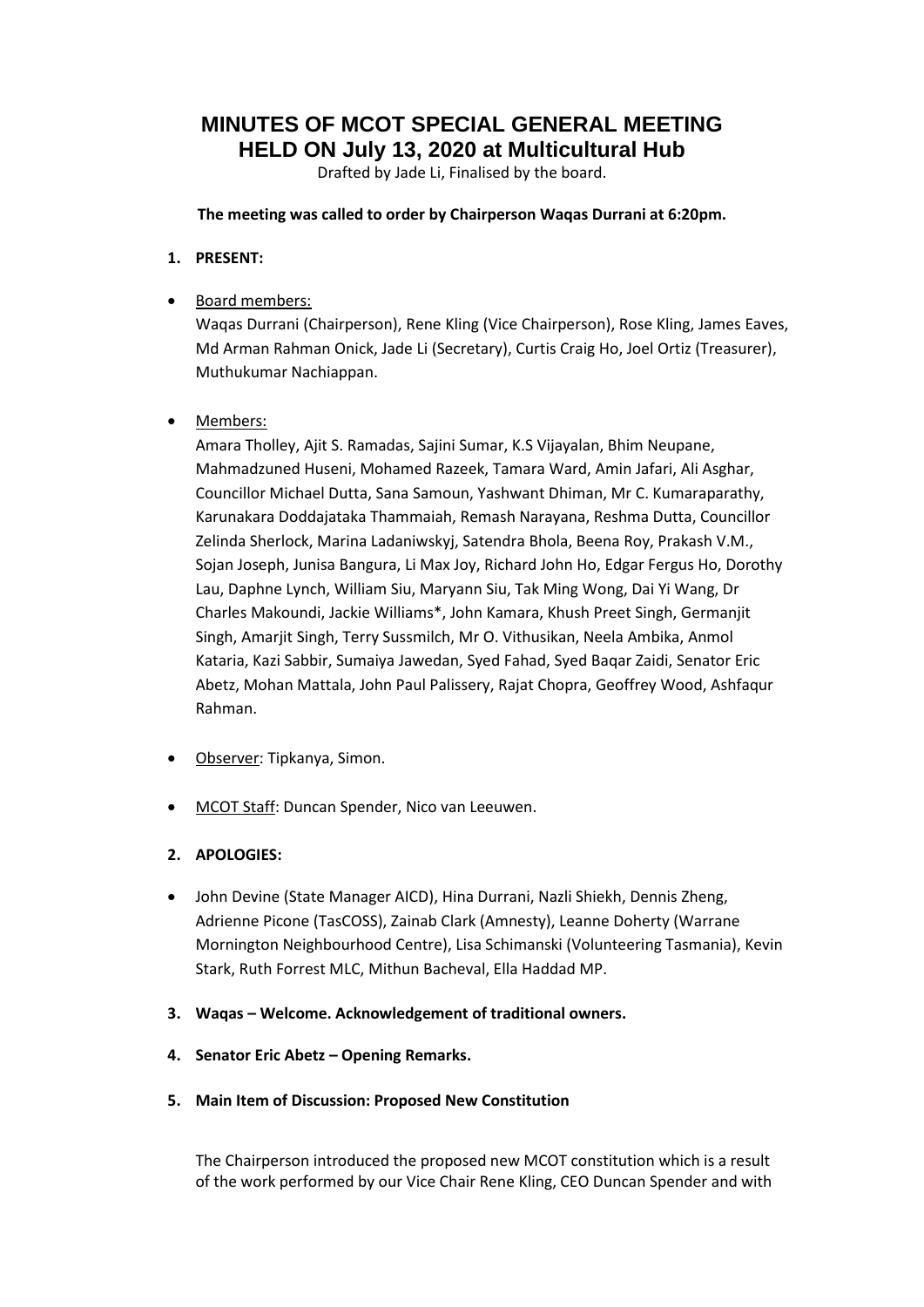**MINUTES OF MCOT SPECIAL GENERAL MEETING HELD ON July 13, 2020 at Multicultural Hub**

Drafted by Jade Li, Finalised by the board.

**The meeting was called to order by Chairperson Waqas Durrani at 6:20pm.**

**1. PRESENT:**

## • Board members:

Waqas Durrani (Chairperson), Rene Kling (Vice Chairperson), Rose Kling, James Eaves, Md Arman Rahman Onick, Jade Li (Secretary), Curtis Craig Ho, Joel Ortiz (Treasurer), Muthukumar Nachiappan.

## Members:

Amara Tholley, Ajit S. Ramadas, Sajini Sumar, K.S Vijayalan, Bhim Neupane, Mahmadzuned Huseni, Mohamed Razeek, Tamara Ward, Amin Jafari, Ali Asghar, Councillor Michael Dutta, Sana Samoun, Yashwant Dhiman, Mr C. Kumaraparathy, Karunakara Doddajataka Thammaiah, Remash Narayana, Reshma Dutta, Councillor Zelinda Sherlock, Marina Ladaniwskyj, Satendra Bhola, Beena Roy, Prakash V.M., Sojan Joseph, Junisa Bangura, Li Max Joy, Richard John Ho, Edgar Fergus Ho, Dorothy Lau, Daphne Lynch, William Siu, Maryann Siu, Tak Ming Wong, Dai Yi Wang, Dr Charles Makoundi, Jackie Williams\*, John Kamara, Khush Preet Singh, Germanjit Singh, Amarjit Singh, Terry Sussmilch, Mr O. Vithusikan, Neela Ambika, Anmol Kataria, Kazi Sabbir, Sumaiya Jawedan, Syed Fahad, Syed Baqar Zaidi, Senator Eric Abetz, Mohan Mattala, John Paul Palissery, Rajat Chopra, Geoffrey Wood, Ashfaqur Rahman.

- Observer: Tipkanya, Simon.
- MCOT Staff: Duncan Spender, Nico van Leeuwen.

### **2. APOLOGIES:**

- John Devine (State Manager AICD), Hina Durrani, Nazli Shiekh, Dennis Zheng, Adrienne Picone (TasCOSS), Zainab Clark (Amnesty), Leanne Doherty (Warrane Mornington Neighbourhood Centre), Lisa Schimanski (Volunteering Tasmania), Kevin Stark, Ruth Forrest MLC, Mithun Bacheval, Ella Haddad MP.
- **3. Waqas – Welcome. Acknowledgement of traditional owners.**
- **4. Senator Eric Abetz – Opening Remarks.**
- **5. Main Item of Discussion: Proposed New Constitution**

The Chairperson introduced the proposed new MCOT constitution which is a result of the work performed by our Vice Chair Rene Kling, CEO Duncan Spender and with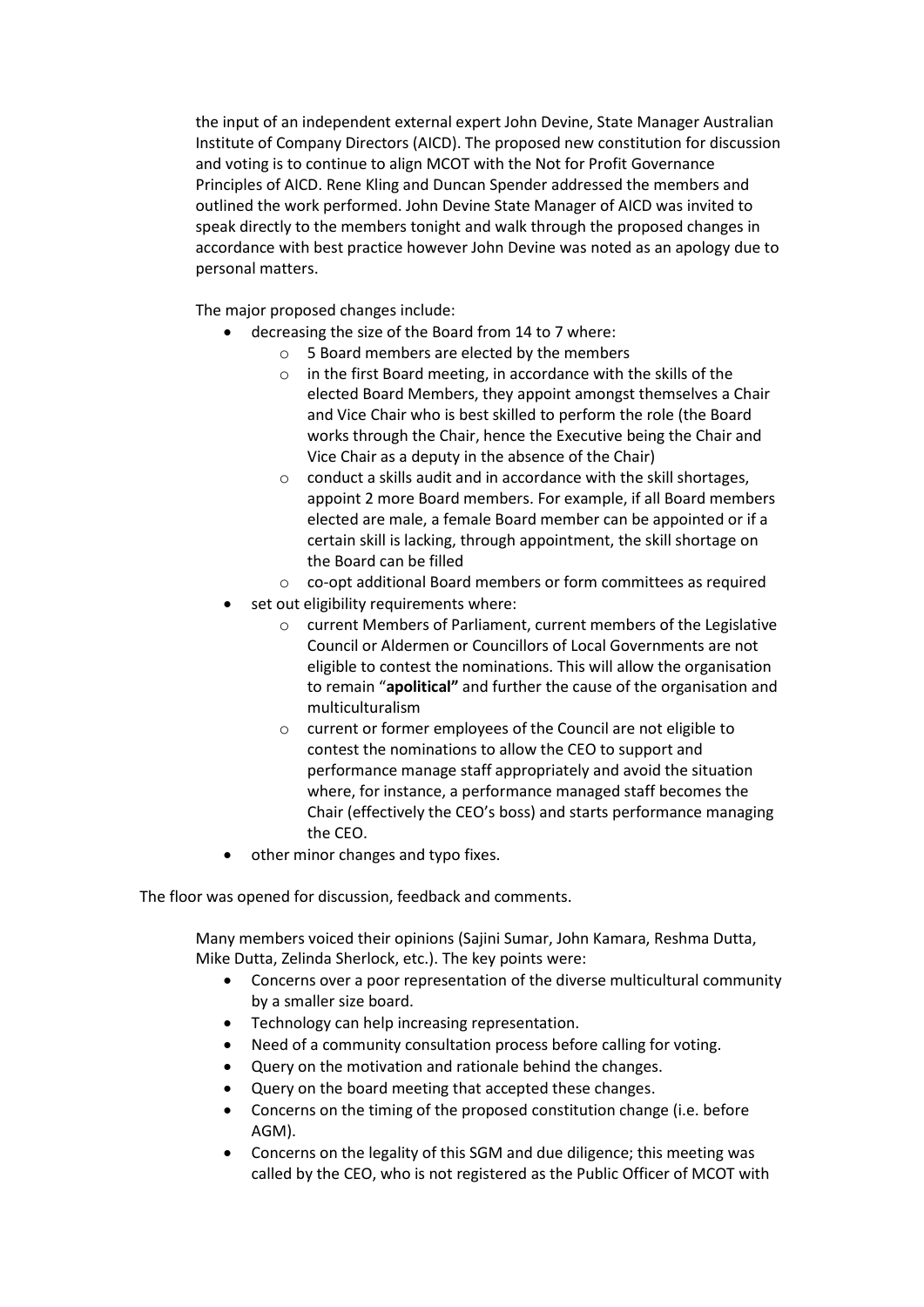the input of an independent external expert John Devine, State Manager Australian Institute of Company Directors (AICD). The proposed new constitution for discussion and voting is to continue to align MCOT with the Not for Profit Governance Principles of AICD. Rene Kling and Duncan Spender addressed the members and outlined the work performed. John Devine State Manager of AICD was invited to speak directly to the members tonight and walk through the proposed changes in accordance with best practice however John Devine was noted as an apology due to personal matters.

The major proposed changes include:

- decreasing the size of the Board from 14 to 7 where:
	- o 5 Board members are elected by the members
	- o in the first Board meeting, in accordance with the skills of the elected Board Members, they appoint amongst themselves a Chair and Vice Chair who is best skilled to perform the role (the Board works through the Chair, hence the Executive being the Chair and Vice Chair as a deputy in the absence of the Chair)
	- o conduct a skills audit and in accordance with the skill shortages, appoint 2 more Board members. For example, if all Board members elected are male, a female Board member can be appointed or if a certain skill is lacking, through appointment, the skill shortage on the Board can be filled
	- o co-opt additional Board members or form committees as required
- set out eligibility requirements where:
	- o current Members of Parliament, current members of the Legislative Council or Aldermen or Councillors of Local Governments are not eligible to contest the nominations. This will allow the organisation to remain "**apolitical"** and further the cause of the organisation and multiculturalism
	- o current or former employees of the Council are not eligible to contest the nominations to allow the CEO to support and performance manage staff appropriately and avoid the situation where, for instance, a performance managed staff becomes the Chair (effectively the CEO's boss) and starts performance managing the CEO.
- other minor changes and typo fixes.

The floor was opened for discussion, feedback and comments.

Many members voiced their opinions (Sajini Sumar, John Kamara, Reshma Dutta, Mike Dutta, Zelinda Sherlock, etc.). The key points were:

- Concerns over a poor representation of the diverse multicultural community by a smaller size board.
- Technology can help increasing representation.
- Need of a community consultation process before calling for voting.
- Query on the motivation and rationale behind the changes.
- Query on the board meeting that accepted these changes.
- Concerns on the timing of the proposed constitution change (i.e. before AGM).
- Concerns on the legality of this SGM and due diligence; this meeting was called by the CEO, who is not registered as the Public Officer of MCOT with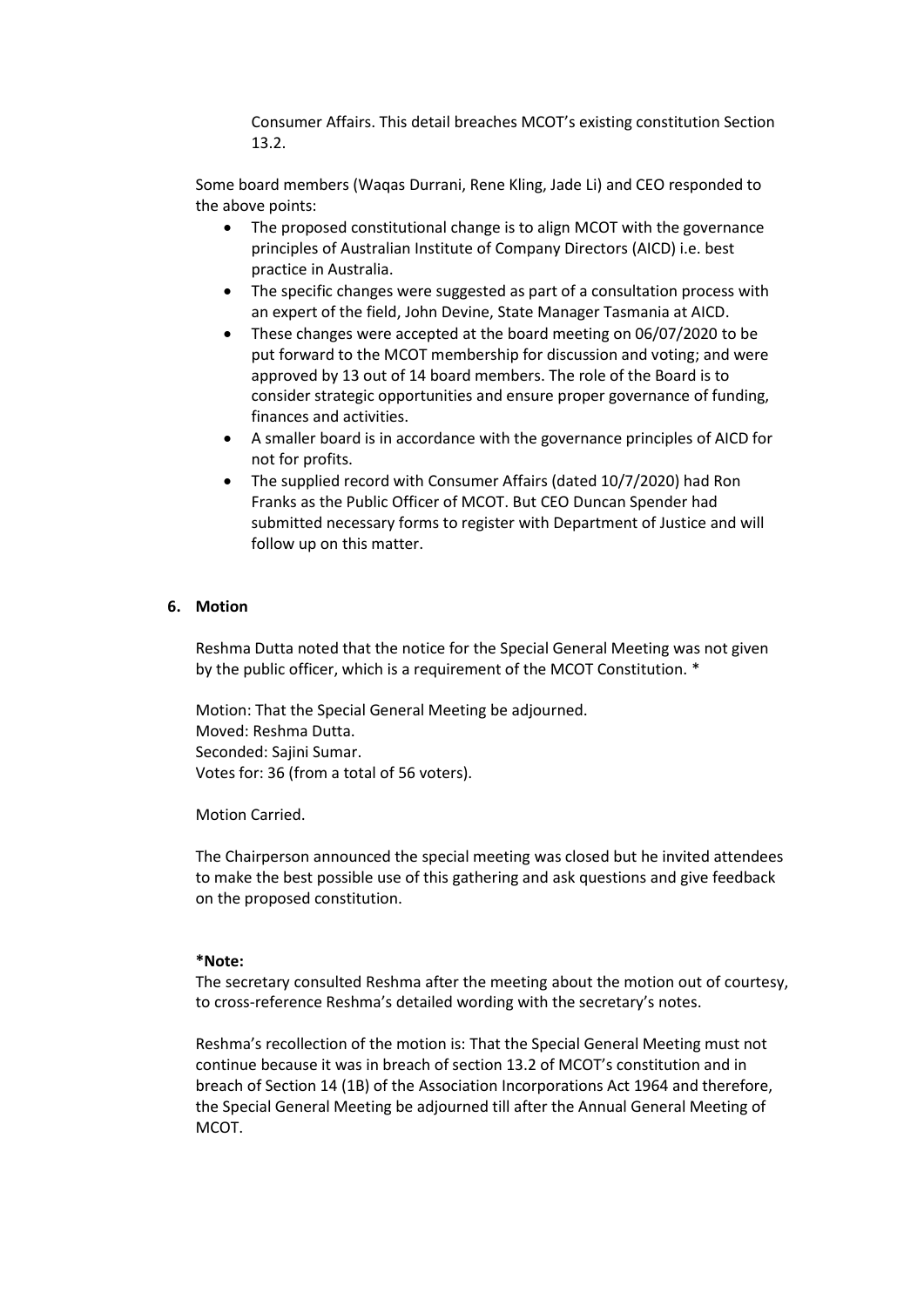Consumer Affairs. This detail breaches MCOT's existing constitution Section 13.2.

Some board members (Waqas Durrani, Rene Kling, Jade Li) and CEO responded to the above points:

- The proposed constitutional change is to align MCOT with the governance principles of Australian Institute of Company Directors (AICD) i.e. best practice in Australia.
- The specific changes were suggested as part of a consultation process with an expert of the field, John Devine, State Manager Tasmania at AICD.
- These changes were accepted at the board meeting on 06/07/2020 to be put forward to the MCOT membership for discussion and voting; and were approved by 13 out of 14 board members. The role of the Board is to consider strategic opportunities and ensure proper governance of funding, finances and activities.
- A smaller board is in accordance with the governance principles of AICD for not for profits.
- The supplied record with Consumer Affairs (dated 10/7/2020) had Ron Franks as the Public Officer of MCOT. But CEO Duncan Spender had submitted necessary forms to register with Department of Justice and will follow up on this matter.

#### **6. Motion**

Reshma Dutta noted that the notice for the Special General Meeting was not given by the public officer, which is a requirement of the MCOT Constitution. \*

Motion: That the Special General Meeting be adjourned. Moved: Reshma Dutta. Seconded: Sajini Sumar. Votes for: 36 (from a total of 56 voters).

Motion Carried.

The Chairperson announced the special meeting was closed but he invited attendees to make the best possible use of this gathering and ask questions and give feedback on the proposed constitution.

#### **\*Note:**

The secretary consulted Reshma after the meeting about the motion out of courtesy, to cross-reference Reshma's detailed wording with the secretary's notes.

Reshma's recollection of the motion is: That the Special General Meeting must not continue because it was in breach of section 13.2 of MCOT's constitution and in breach of Section 14 (1B) of the Association Incorporations Act 1964 and therefore, the Special General Meeting be adjourned till after the Annual General Meeting of MCOT.